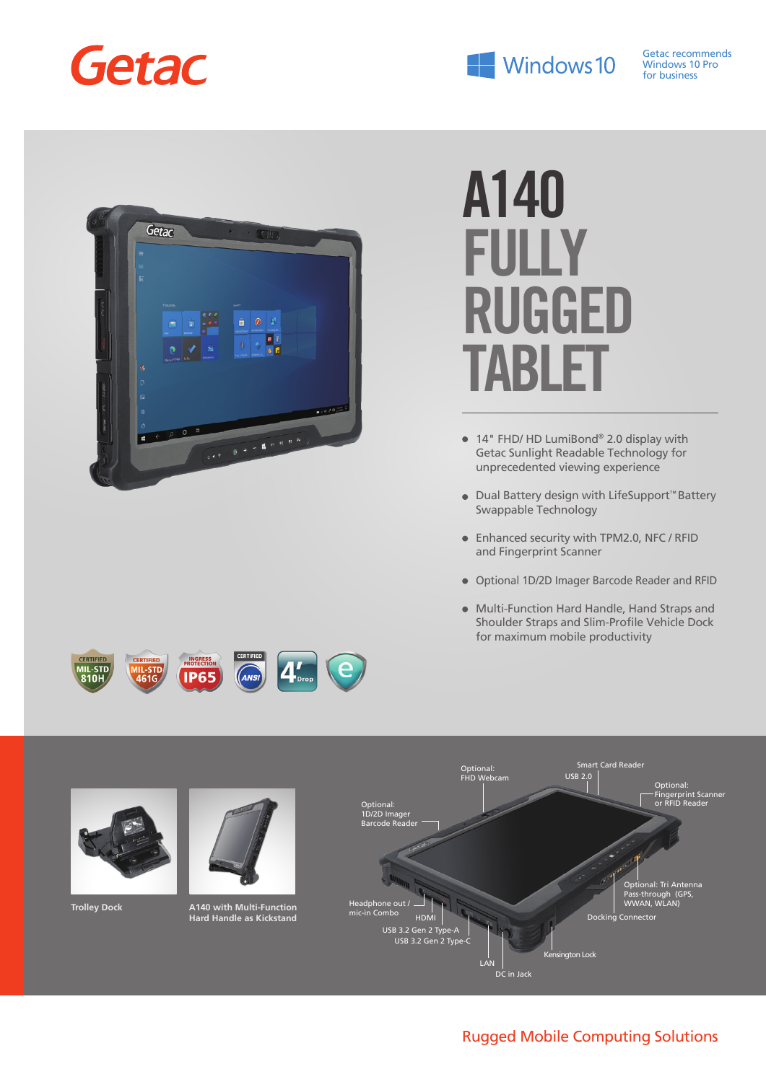



# **A140 FULLY RUGGED TABLE**

- 14" FHD/ HD LumiBond® 2.0 display with Getac Sunlight Readable Technology for unprecedented viewing experience
- Dual Battery design with LifeSupport™ Battery Swappable Technology
- Enhanced security with TPM2.0, NFC / RFID and Fingerprint Scanner
- Optional 1D/2D Imager Barcode Reader and RFID
- Multi-Function Hard Handle, Hand Straps and Shoulder Straps and Slim-Profile Vehicle Dock for maximum mobile productivity



e

### Rugged Mobile Computing Solutions